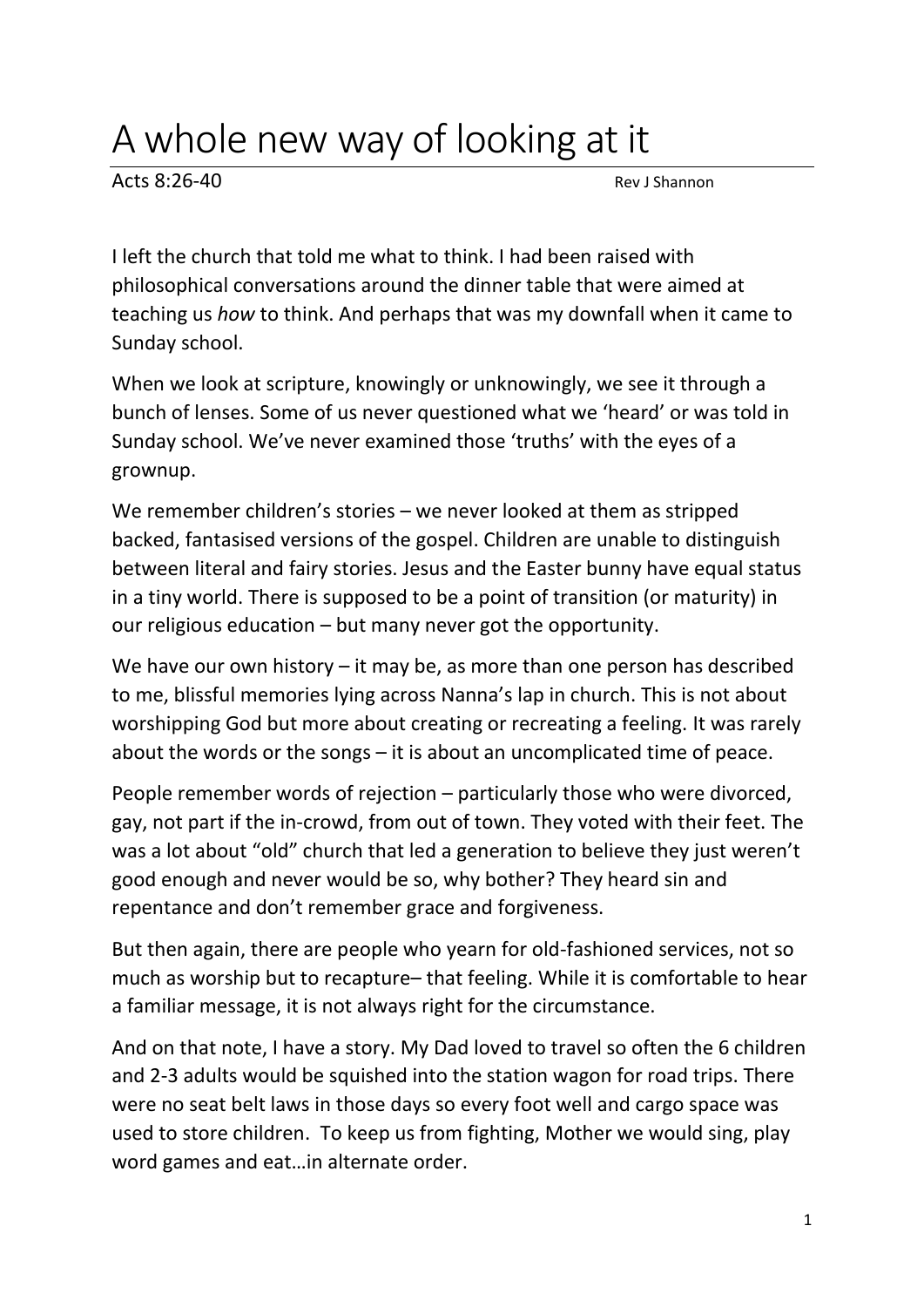## A whole new way of looking at it

 $Acts 8:26-40$ 

I left the church that told me what to think. I had been raised with philosophical conversations around the dinner table that were aimed at teaching us *how* to think. And perhaps that was my downfall when it came to Sunday school.

When we look at scripture, knowingly or unknowingly, we see it through a bunch of lenses. Some of us never questioned what we 'heard' or was told in Sunday school. We've never examined those 'truths' with the eyes of a grownup.

We remember children's stories – we never looked at them as stripped backed, fantasised versions of the gospel. Children are unable to distinguish between literal and fairy stories. Jesus and the Easter bunny have equal status in a tiny world. There is supposed to be a point of transition (or maturity) in our religious education – but many never got the opportunity.

We have our own history – it may be, as more than one person has described to me, blissful memories lying across Nanna's lap in church. This is not about worshipping God but more about creating or recreating a feeling. It was rarely about the words or the songs – it is about an uncomplicated time of peace.

People remember words of rejection – particularly those who were divorced, gay, not part if the in-crowd, from out of town. They voted with their feet. The was a lot about "old" church that led a generation to believe they just weren't good enough and never would be so, why bother? They heard sin and repentance and don't remember grace and forgiveness.

But then again, there are people who yearn for old-fashioned services, not so much as worship but to recapture– that feeling. While it is comfortable to hear a familiar message, it is not always right for the circumstance.

And on that note, I have a story. My Dad loved to travel so often the 6 children and 2-3 adults would be squished into the station wagon for road trips. There were no seat belt laws in those days so every foot well and cargo space was used to store children. To keep us from fighting, Mother we would sing, play word games and eat…in alternate order.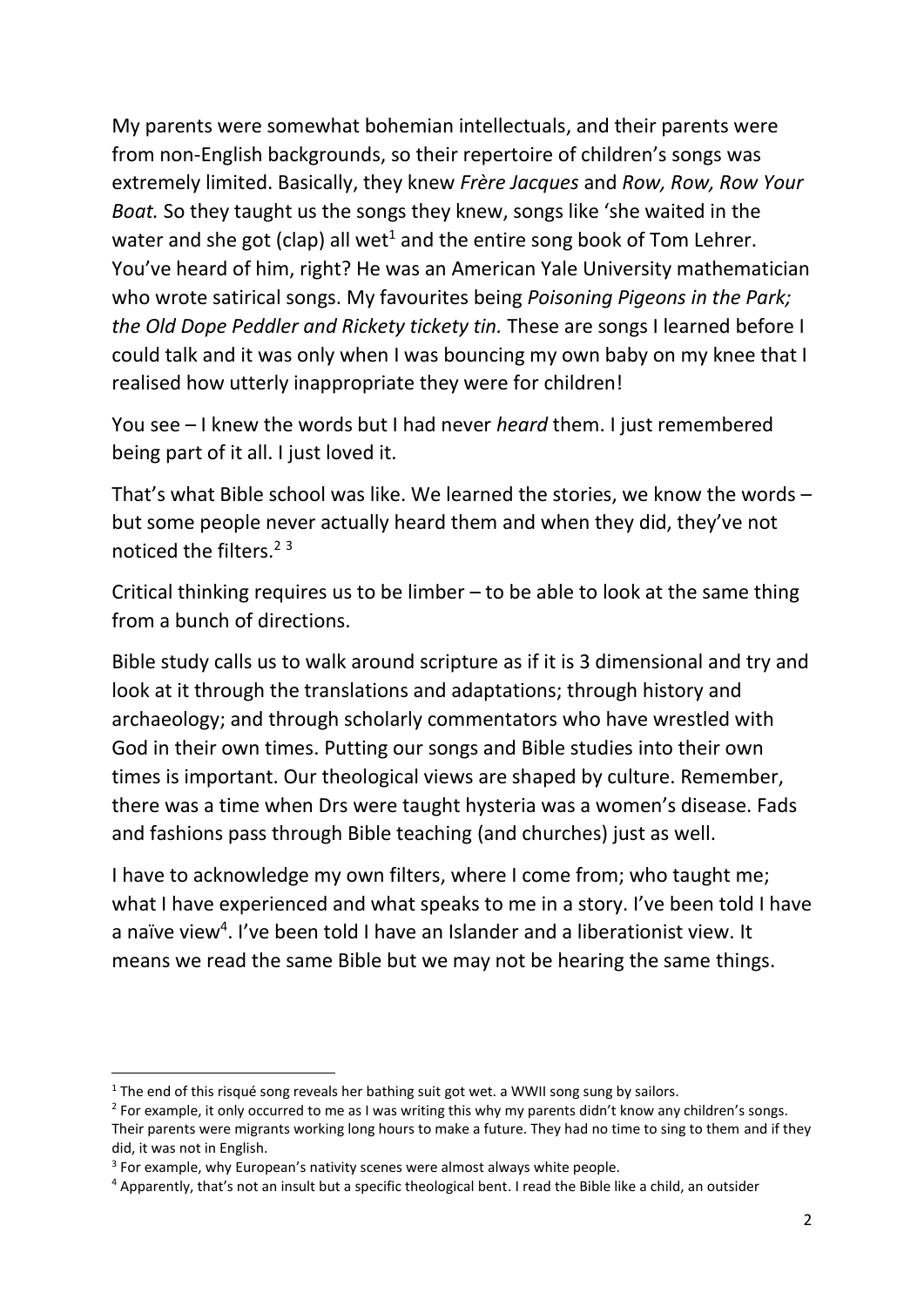My parents were somewhat bohemian intellectuals, and their parents were from non-English backgrounds, so their repertoire of children's songs was extremely limited. Basically, they knew *Frère Jacques* and *Row, Row, Row Your Boat.* So they taught us the songs they knew, songs like 'she waited in the water and she got (clap) all wet<sup>1</sup> and the entire song book of Tom Lehrer. You've heard of him, right? He was an American Yale University mathematician who wrote satirical songs. My favourites being *Poisoning Pigeons in the Park; the Old Dope Peddler and Rickety tickety tin.* These are songs I learned before I could talk and it was only when I was bouncing my own baby on my knee that I realised how utterly inappropriate they were for children!

You see – I knew the words but I had never *heard* them. I just remembered being part of it all. I just loved it.

That's what Bible school was like. We learned the stories, we know the words – but some people never actually heard them and when they did, they've not noticed the filters.<sup>23</sup>

Critical thinking requires us to be limber – to be able to look at the same thing from a bunch of directions.

Bible study calls us to walk around scripture as if it is 3 dimensional and try and look at it through the translations and adaptations; through history and archaeology; and through scholarly commentators who have wrestled with God in their own times. Putting our songs and Bible studies into their own times is important. Our theological views are shaped by culture. Remember, there was a time when Drs were taught hysteria was a women's disease. Fads and fashions pass through Bible teaching (and churches) just as well.

I have to acknowledge my own filters, where I come from; who taught me; what I have experienced and what speaks to me in a story. I've been told I have a naïve view<sup>4</sup>. I've been told I have an Islander and a liberationist view. It means we read the same Bible but we may not be hearing the same things.

<sup>&</sup>lt;sup>1</sup> The end of this risqué song reveals her bathing suit got wet. a WWII song sung by sailors.

<sup>&</sup>lt;sup>2</sup> For example, it only occurred to me as I was writing this why my parents didn't know any children's songs. Their parents were migrants working long hours to make a future. They had no time to sing to them and if they did, it was not in English.

<sup>&</sup>lt;sup>3</sup> For example, why European's nativity scenes were almost always white people.

<sup>4</sup> Apparently, that's not an insult but a specific theological bent. I read the Bible like a child, an outsider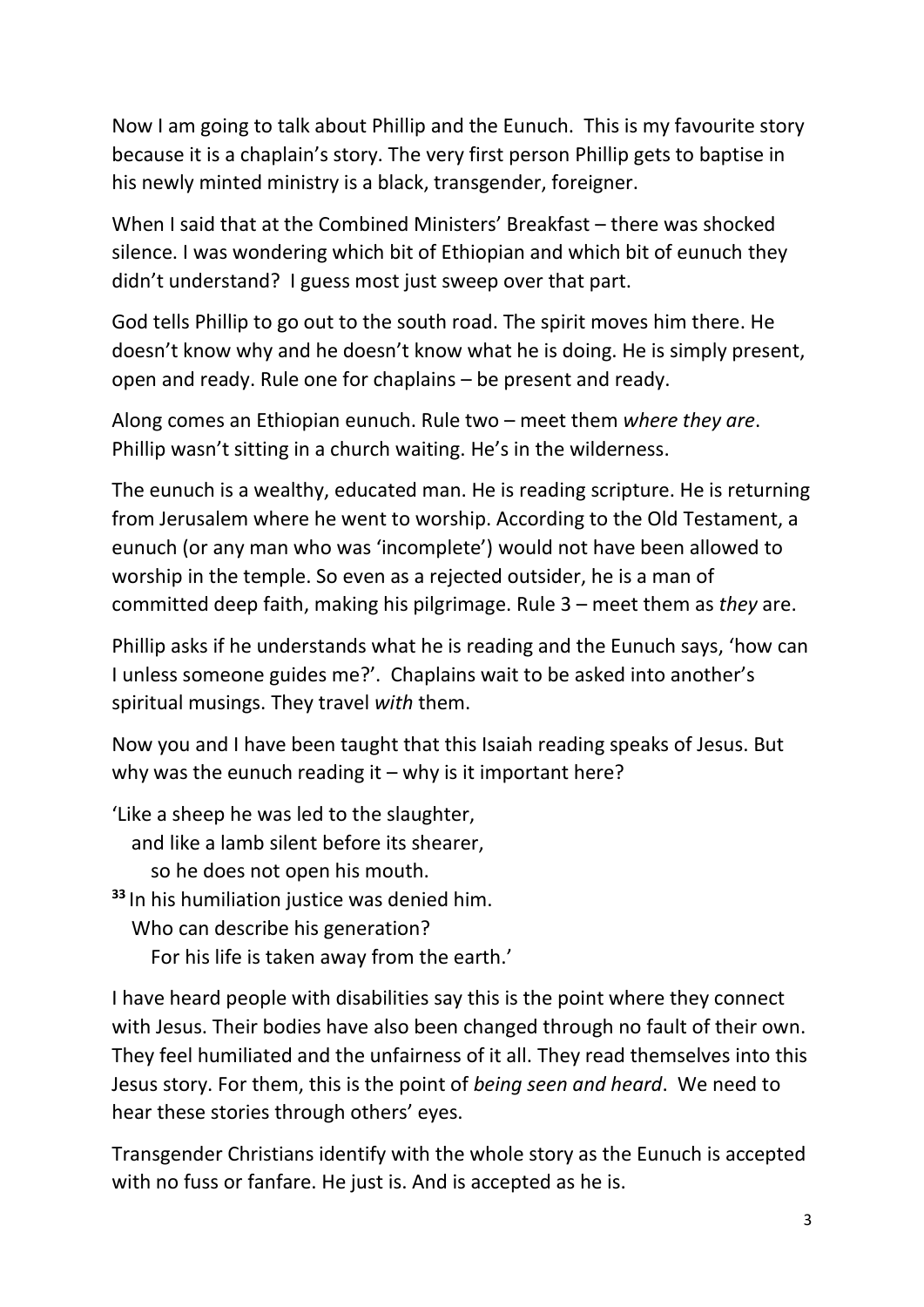Now I am going to talk about Phillip and the Eunuch. This is my favourite story because it is a chaplain's story. The very first person Phillip gets to baptise in his newly minted ministry is a black, transgender, foreigner.

When I said that at the Combined Ministers' Breakfast – there was shocked silence. I was wondering which bit of Ethiopian and which bit of eunuch they didn't understand? I guess most just sweep over that part.

God tells Phillip to go out to the south road. The spirit moves him there. He doesn't know why and he doesn't know what he is doing. He is simply present, open and ready. Rule one for chaplains – be present and ready.

Along comes an Ethiopian eunuch. Rule two – meet them *where they are*. Phillip wasn't sitting in a church waiting. He's in the wilderness.

The eunuch is a wealthy, educated man. He is reading scripture. He is returning from Jerusalem where he went to worship. According to the Old Testament, a eunuch (or any man who was 'incomplete') would not have been allowed to worship in the temple. So even as a rejected outsider, he is a man of committed deep faith, making his pilgrimage. Rule 3 – meet them as *they* are.

Phillip asks if he understands what he is reading and the Eunuch says, 'how can I unless someone guides me?'. Chaplains wait to be asked into another's spiritual musings. They travel *with* them.

Now you and I have been taught that this Isaiah reading speaks of Jesus. But why was the eunuch reading it – why is it important here?

'Like a sheep he was led to the slaughter, and like a lamb silent before its shearer, so he does not open his mouth. **<sup>33</sup>** In his humiliation justice was denied him.

 Who can describe his generation? For his life is taken away from the earth.'

I have heard people with disabilities say this is the point where they connect with Jesus. Their bodies have also been changed through no fault of their own. They feel humiliated and the unfairness of it all. They read themselves into this Jesus story. For them, this is the point of *being seen and heard*. We need to hear these stories through others' eyes.

Transgender Christians identify with the whole story as the Eunuch is accepted with no fuss or fanfare. He just is. And is accepted as he is.